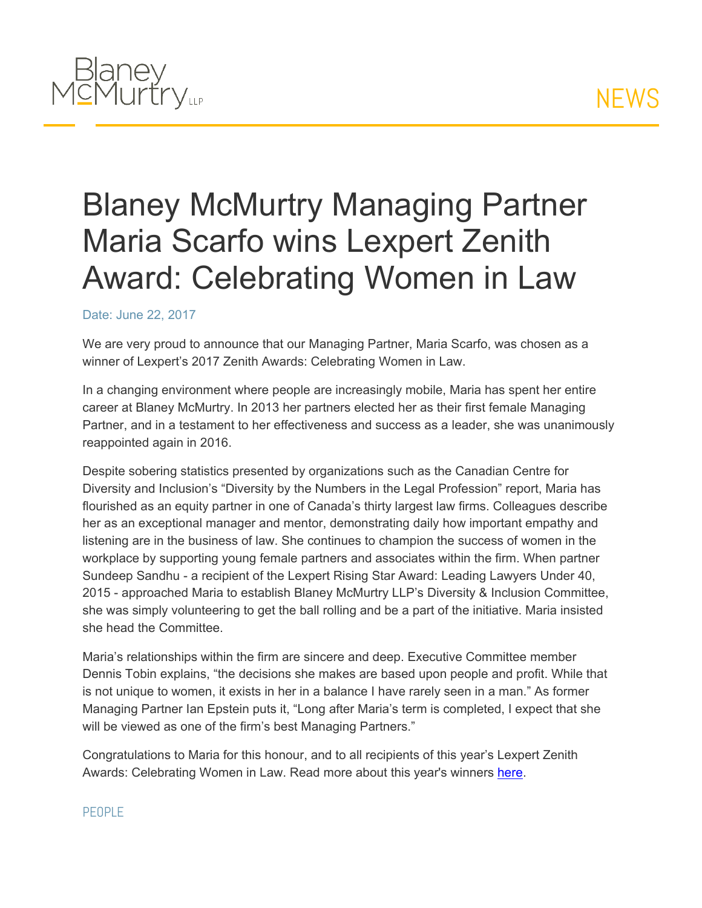## **NEWS**



## Blaney McMurtry Managing Partner Maria Scarfo wins Lexpert Zenith Award: Celebrating Women in Law

## Date: June 22, 2017

We are very proud to announce that our Managing Partner, Maria Scarfo, was chosen as a winner of Lexpert's 2017 Zenith Awards: Celebrating Women in Law.

In a changing environment where people are increasingly mobile, Maria has spent her entire career at Blaney McMurtry. In 2013 her partners elected her as their first female Managing Partner, and in a testament to her effectiveness and success as a leader, she was unanimously reappointed again in 2016.

Despite sobering statistics presented by organizations such as the Canadian Centre for Diversity and Inclusion's "Diversity by the Numbers in the Legal Profession" report, Maria has flourished as an equity partner in one of Canada's thirty largest law firms. Colleagues describe her as an exceptional manager and mentor, demonstrating daily how important empathy and listening are in the business of law. She continues to champion the success of women in the workplace by supporting young female partners and associates within the firm. When partner Sundeep Sandhu - a recipient of the Lexpert Rising Star Award: Leading Lawyers Under 40, 2015 - approached Maria to establish Blaney McMurtry LLP's Diversity & Inclusion Committee, she was simply volunteering to get the ball rolling and be a part of the initiative. Maria insisted she head the Committee.

Maria's relationships within the firm are sincere and deep. Executive Committee member Dennis Tobin explains, "the decisions she makes are based upon people and profit. While that is not unique to women, it exists in her in a balance I have rarely seen in a man." As former Managing Partner Ian Epstein puts it, "Long after Maria's term is completed, I expect that she will be viewed as one of the firm's best Managing Partners."

Congratulations to Maria for this honour, and to all recipients of this year's Lexpert Zenith Awards: Celebrating Women in Law. Read more about this year's winners [here](http://www.lexpert.ca/zenith/award-winners/).

## PFOPLE